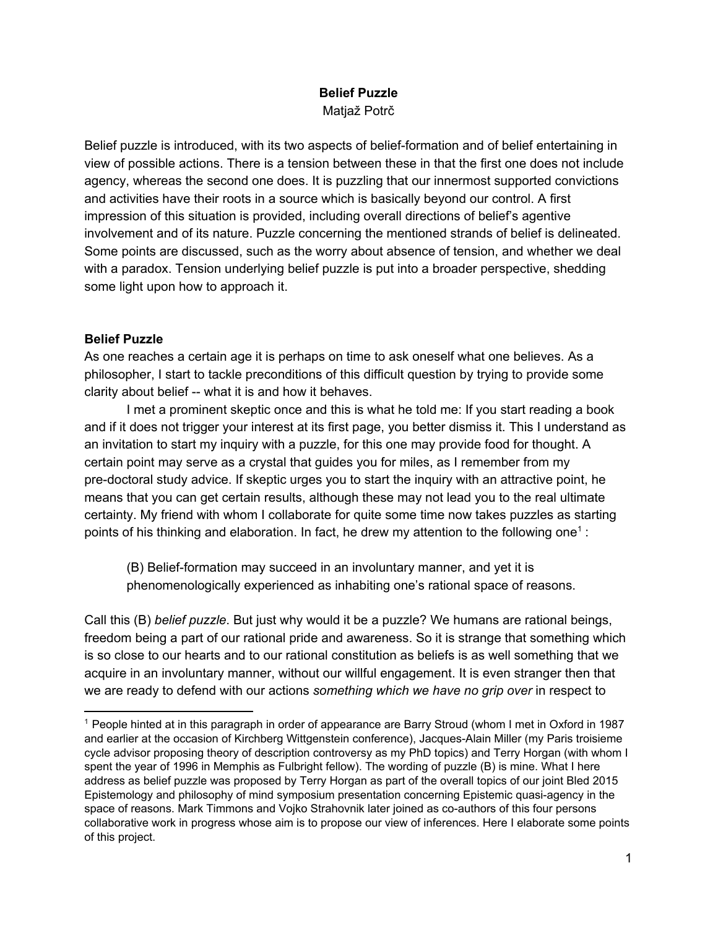# **Belief Puzzle** Matjaž Potrč

Belief puzzle is introduced, with its two aspects of belief-formation and of belief entertaining in view of possible actions. There is a tension between these in that the first one does not include agency, whereas the second one does. It is puzzling that our innermost supported convictions and activities have their roots in a source which is basically beyond our control. A first impression of this situation is provided, including overall directions of belief's agentive involvement and of its nature. Puzzle concerning the mentioned strands of belief is delineated. Some points are discussed, such as the worry about absence of tension, and whether we deal with a paradox. Tension underlying belief puzzle is put into a broader perspective, shedding some light upon how to approach it.

## **Belief Puzzle**

As one reaches a certain age it is perhaps on time to ask oneself what one believes. As a philosopher, I start to tackle preconditions of this difficult question by trying to provide some clarity about belief -- what it is and how it behaves.

I met a prominent skeptic once and this is what he told me: If you start reading a book and if it does not trigger your interest at its first page, you better dismiss it. This I understand as an invitation to start my inquiry with a puzzle, for this one may provide food for thought. A certain point may serve as a crystal that guides you for miles, as I remember from my pre-doctoral study advice. If skeptic urges you to start the inquiry with an attractive point, he means that you can get certain results, although these may not lead you to the real ultimate certainty. My friend with whom I collaborate for quite some time now takes puzzles as starting points of his thinking and elaboration. In fact, he drew my attention to the following one<sup>1</sup>:

(B) Belief-formation may succeed in an involuntary manner, and yet it is phenomenologically experienced as inhabiting one's rational space of reasons.

Call this (B) *belief puzzle*. But just why would it be a puzzle? We humans are rational beings, freedom being a part of our rational pride and awareness. So it is strange that something which is so close to our hearts and to our rational constitution as beliefs is as well something that we acquire in an involuntary manner, without our willful engagement. It is even stranger then that we are ready to defend with our actions *something which we have no grip over* in respect to

<sup>1</sup> People hinted at in this paragraph in order of appearance are Barry Stroud (whom I met in Oxford in 1987 and earlier at the occasion of Kirchberg Wittgenstein conference), Jacques-Alain Miller (my Paris troisieme cycle advisor proposing theory of description controversy as my PhD topics) and Terry Horgan (with whom I spent the year of 1996 in Memphis as Fulbright fellow). The wording of puzzle (B) is mine. What I here address as belief puzzle was proposed by Terry Horgan as part of the overall topics of our joint Bled 2015 Epistemology and philosophy of mind symposium presentation concerning Epistemic quasi-agency in the space of reasons. Mark Timmons and Vojko Strahovnik later joined as co-authors of this four persons collaborative work in progress whose aim is to propose our view of inferences. Here I elaborate some points of this project.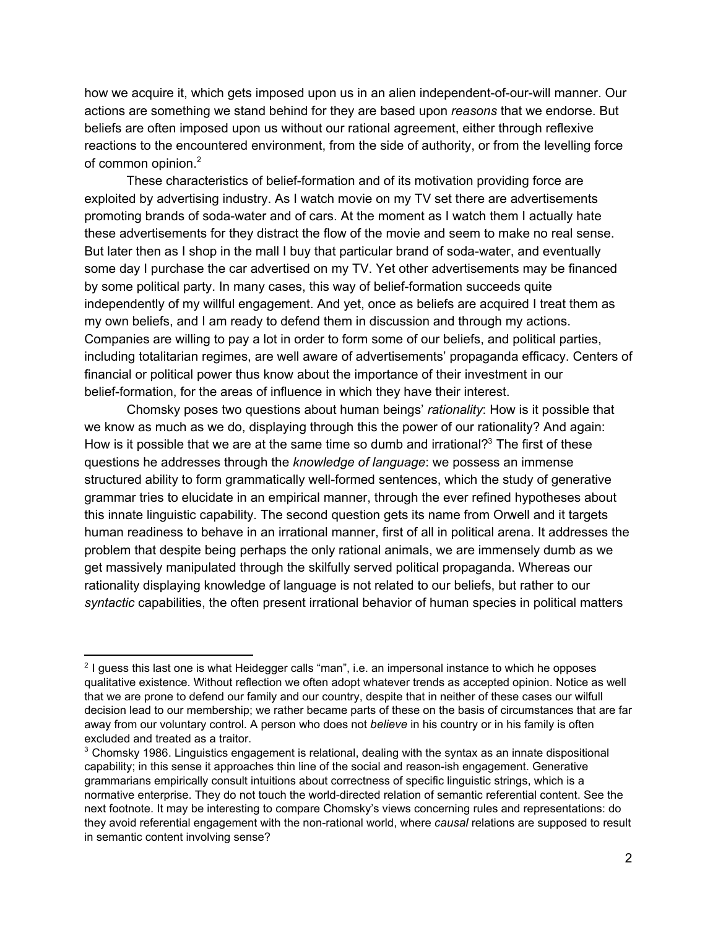how we acquire it, which gets imposed upon us in an alien independent-of-our-will manner. Our actions are something we stand behind for they are based upon *reasons* that we endorse. But beliefs are often imposed upon us without our rational agreement, either through reflexive reactions to the encountered environment, from the side of authority, or from the levelling force of common opinion.<sup>2</sup>

These characteristics of belief-formation and of its motivation providing force are exploited by advertising industry. As I watch movie on my TV set there are advertisements promoting brands of sodawater and of cars. At the moment as I watch them I actually hate these advertisements for they distract the flow of the movie and seem to make no real sense. But later then as I shop in the mall I buy that particular brand of soda-water, and eventually some day I purchase the car advertised on my TV. Yet other advertisements may be financed by some political party. In many cases, this way of belief-formation succeeds quite independently of my willful engagement. And yet, once as beliefs are acquired I treat them as my own beliefs, and I am ready to defend them in discussion and through my actions. Companies are willing to pay a lot in order to form some of our beliefs, and political parties, including totalitarian regimes, are well aware of advertisements' propaganda efficacy. Centers of financial or political power thus know about the importance of their investment in our belief-formation, for the areas of influence in which they have their interest.

Chomsky poses two questions about human beings' *rationality*: How is it possible that we know as much as we do, displaying through this the power of our rationality? And again: How is it possible that we are at the same time so dumb and irrational?<sup>3</sup> The first of these questions he addresses through the *knowledge of language*: we possess an immense structured ability to form grammatically well-formed sentences, which the study of generative grammar tries to elucidate in an empirical manner, through the ever refined hypotheses about this innate linguistic capability. The second question gets its name from Orwell and it targets human readiness to behave in an irrational manner, first of all in political arena. It addresses the problem that despite being perhaps the only rational animals, we are immensely dumb as we get massively manipulated through the skilfully served political propaganda. Whereas our rationality displaying knowledge of language is not related to our beliefs, but rather to our *syntactic* capabilities, the often present irrational behavior of human species in political matters

<sup>&</sup>lt;sup>2</sup> I guess this last one is what Heidegger calls "man", i.e. an impersonal instance to which he opposes qualitative existence. Without reflection we often adopt whatever trends as accepted opinion. Notice as well that we are prone to defend our family and our country, despite that in neither of these cases our wilfull decision lead to our membership; we rather became parts of these on the basis of circumstances that are far away from our voluntary control. A person who does not *believe* in his country or in his family is often excluded and treated as a traitor.

 $3$  Chomsky 1986. Linguistics engagement is relational, dealing with the syntax as an innate dispositional capability; in this sense it approaches thin line of the social and reason-ish engagement. Generative grammarians empirically consult intuitions about correctness of specific linguistic strings, which is a normative enterprise. They do not touch the world-directed relation of semantic referential content. See the next footnote. It may be interesting to compare Chomsky's views concerning rules and representations: do they avoid referential engagement with the non-rational world, where *causal* relations are supposed to result in semantic content involving sense?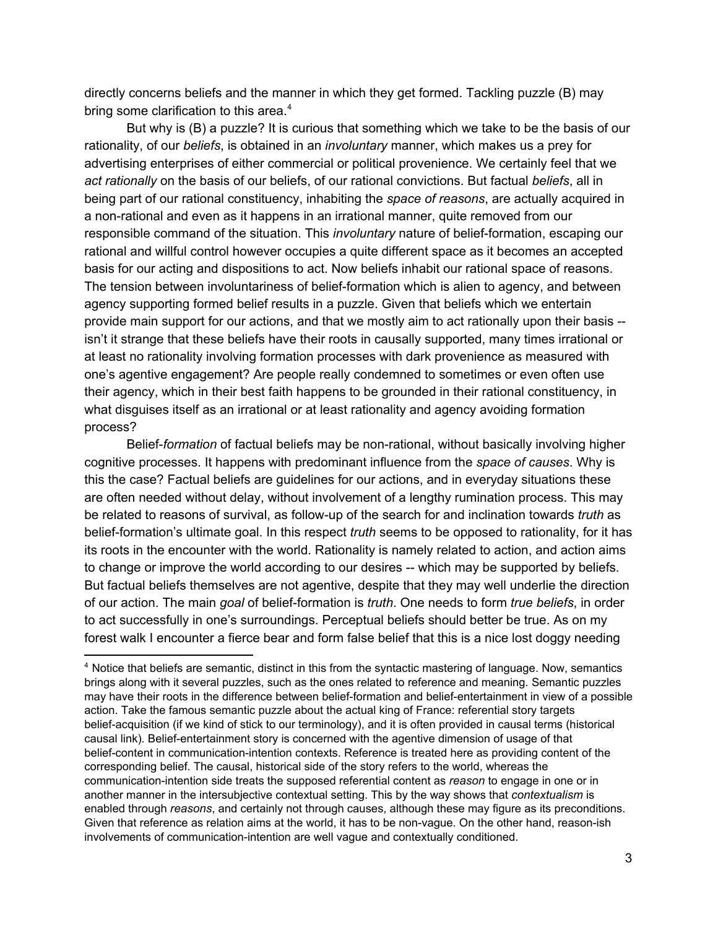directly concerns beliefs and the manner in which they get formed. Tackling puzzle (B) may bring some clarification to this area.<sup>4</sup>

But why is (B) a puzzle? It is curious that something which we take to be the basis of our rationality, of our *beliefs*, is obtained in an *involuntary* manner, which makes us a prey for advertising enterprises of either commercial or political provenience. We certainly feel that we *act rationally* on the basis of our beliefs, of our rational convictions. But factual *beliefs*, all in being part of our rational constituency, inhabiting the *space of reasons*, are actually acquired in a non-rational and even as it happens in an irrational manner, quite removed from our responsible command of the situation. This *involuntary* nature of belief-formation, escaping our rational and willful control however occupies a quite different space as it becomes an accepted basis for our acting and dispositions to act. Now beliefs inhabit our rational space of reasons. The tension between involuntariness of belief-formation which is alien to agency, and between agency supporting formed belief results in a puzzle. Given that beliefs which we entertain provide main support for our actions, and that we mostly aim to act rationally upon their basis -isn't it strange that these beliefs have their roots in causally supported, many times irrational or at least no rationality involving formation processes with dark provenience as measured with one's agentive engagement? Are people really condemned to sometimes or even often use their agency, which in their best faith happens to be grounded in their rational constituency, in what disguises itself as an irrational or at least rationality and agency avoiding formation process?

Belief-formation of factual beliefs may be non-rational, without basically involving higher cognitive processes. It happens with predominant influence from the *space of causes*. Why is this the case? Factual beliefs are guidelines for our actions, and in everyday situations these are often needed without delay, without involvement of a lengthy rumination process. This may be related to reasons of survival, as follow-up of the search for and inclination towards *truth* as beliefformation's ultimate goal. In this respect *truth* seems to be opposed to rationality, for it has its roots in the encounter with the world. Rationality is namely related to action, and action aims to change or improve the world according to our desires -- which may be supported by beliefs. But factual beliefs themselves are not agentive, despite that they may well underlie the direction of our action. The main *goal* of beliefformation is *truth*. One needs to form *true beliefs*, in order to act successfully in one's surroundings. Perceptual beliefs should better be true. As on my forest walk I encounter a fierce bear and form false belief that this is a nice lost doggy needing

<sup>4</sup> Notice that beliefs are semantic, distinct in this from the syntactic mastering of language. Now, semantics brings along with it several puzzles, such as the ones related to reference and meaning. Semantic puzzles may have their roots in the difference between belief-formation and belief-entertainment in view of a possible action. Take the famous semantic puzzle about the actual king of France: referential story targets belief-acquisition (if we kind of stick to our terminology), and it is often provided in causal terms (historical causal link). Belief-entertainment story is concerned with the agentive dimension of usage of that belief-content in communication-intention contexts. Reference is treated here as providing content of the corresponding belief. The causal, historical side of the story refers to the world, whereas the communication-intention side treats the supposed referential content as *reason* to engage in one or in another manner in the intersubjective contextual setting. This by the way shows that *contextualism* is enabled through *reasons*, and certainly not through causes, although these may figure as its preconditions. Given that reference as relation aims at the world, it has to be non-vague. On the other hand, reason-ish involvements of communication-intention are well vague and contextually conditioned.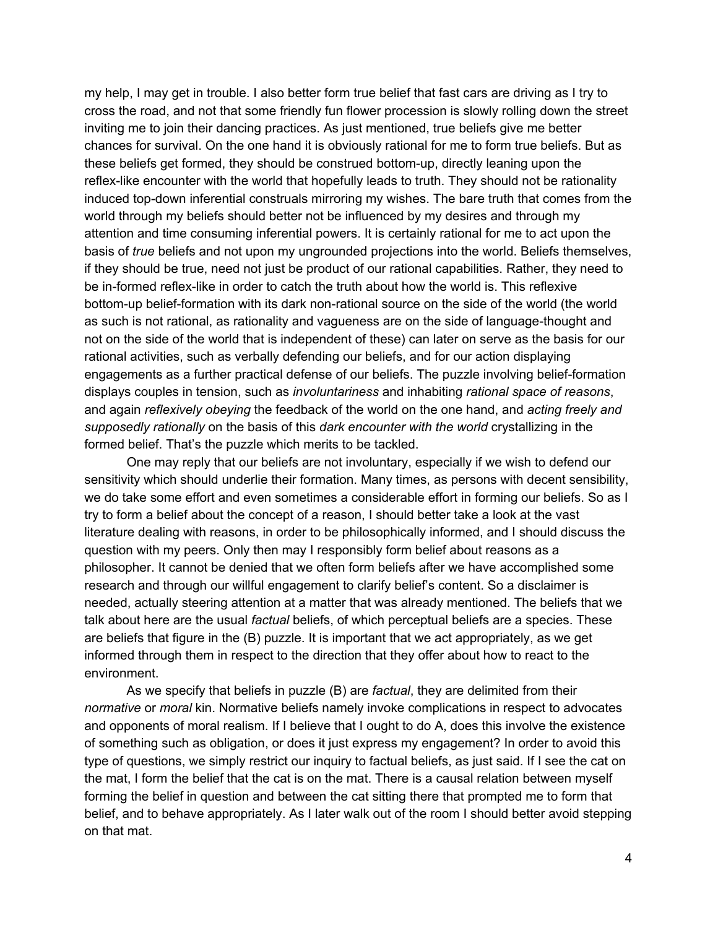my help, I may get in trouble. I also better form true belief that fast cars are driving as I try to cross the road, and not that some friendly fun flower procession is slowly rolling down the street inviting me to join their dancing practices. As just mentioned, true beliefs give me better chances for survival. On the one hand it is obviously rational for me to form true beliefs. But as these beliefs get formed, they should be construed bottom-up, directly leaning upon the reflex-like encounter with the world that hopefully leads to truth. They should not be rationality induced top-down inferential construals mirroring my wishes. The bare truth that comes from the world through my beliefs should better not be influenced by my desires and through my attention and time consuming inferential powers. It is certainly rational for me to act upon the basis of *true* beliefs and not upon my ungrounded projections into the world. Beliefs themselves, if they should be true, need not just be product of our rational capabilities. Rather, they need to be in-formed reflex-like in order to catch the truth about how the world is. This reflexive bottom-up belief-formation with its dark non-rational source on the side of the world (the world as such is not rational, as rationality and vagueness are on the side of language-thought and not on the side of the world that is independent of these) can later on serve as the basis for our rational activities, such as verbally defending our beliefs, and for our action displaying engagements as a further practical defense of our beliefs. The puzzle involving beliefformation displays couples in tension, such as *involuntariness* and inhabiting *rational space of reasons*, and again *reflexively obeying* the feedback of the world on the one hand, and *acting freely and supposedly rationally* on the basis of this *dark encounter with the world* crystallizing in the formed belief. That's the puzzle which merits to be tackled.

One may reply that our beliefs are not involuntary, especially if we wish to defend our sensitivity which should underlie their formation. Many times, as persons with decent sensibility, we do take some effort and even sometimes a considerable effort in forming our beliefs. So as I try to form a belief about the concept of a reason, I should better take a look at the vast literature dealing with reasons, in order to be philosophically informed, and I should discuss the question with my peers. Only then may I responsibly form belief about reasons as a philosopher. It cannot be denied that we often form beliefs after we have accomplished some research and through our willful engagement to clarify belief's content. So a disclaimer is needed, actually steering attention at a matter that was already mentioned. The beliefs that we talk about here are the usual *factual* beliefs, of which perceptual beliefs are a species. These are beliefs that figure in the (B) puzzle. It is important that we act appropriately, as we get informed through them in respect to the direction that they offer about how to react to the environment.

As we specify that beliefs in puzzle (B) are *factual*, they are delimited from their *normative* or *moral* kin. Normative beliefs namely invoke complications in respect to advocates and opponents of moral realism. If I believe that I ought to do A, does this involve the existence of something such as obligation, or does it just express my engagement? In order to avoid this type of questions, we simply restrict our inquiry to factual beliefs, as just said. If I see the cat on the mat, I form the belief that the cat is on the mat. There is a causal relation between myself forming the belief in question and between the cat sitting there that prompted me to form that belief, and to behave appropriately. As I later walk out of the room I should better avoid stepping on that mat.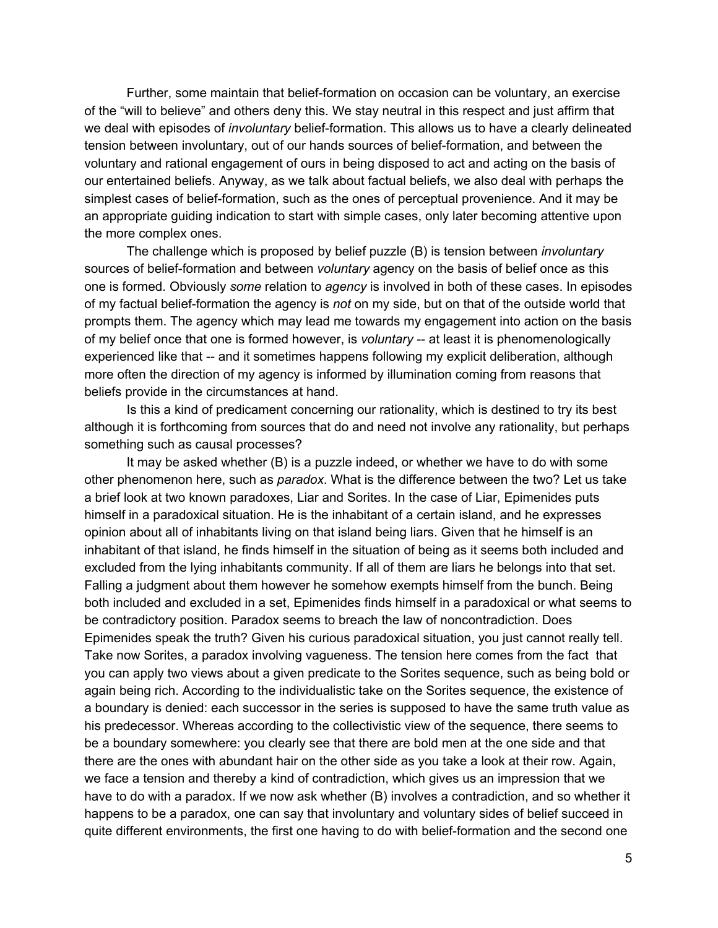Further, some maintain that belief-formation on occasion can be voluntary, an exercise of the "will to believe" and others deny this. We stay neutral in this respect and just affirm that we deal with episodes of *involuntary* belief-formation. This allows us to have a clearly delineated tension between involuntary, out of our hands sources of belief-formation, and between the voluntary and rational engagement of ours in being disposed to act and acting on the basis of our entertained beliefs. Anyway, as we talk about factual beliefs, we also deal with perhaps the simplest cases of belief-formation, such as the ones of perceptual provenience. And it may be an appropriate guiding indication to start with simple cases, only later becoming attentive upon the more complex ones.

The challenge which is proposed by belief puzzle (B) is tension between *involuntary* sources of belief-formation and between *voluntary* agency on the basis of belief once as this one is formed. Obviously *some* relation to *agency* is involved in both of these cases. In episodes of my factual beliefformation the agency is *not* on my side, but on that of the outside world that prompts them. The agency which may lead me towards my engagement into action on the basis of my belief once that one is formed however, is *voluntary* -- at least it is phenomenologically experienced like that -- and it sometimes happens following my explicit deliberation, although more often the direction of my agency is informed by illumination coming from reasons that beliefs provide in the circumstances at hand.

Is this a kind of predicament concerning our rationality, which is destined to try its best although it is forthcoming from sources that do and need not involve any rationality, but perhaps something such as causal processes?

It may be asked whether (B) is a puzzle indeed, or whether we have to do with some other phenomenon here, such as *paradox*. What is the difference between the two? Let us take a brief look at two known paradoxes, Liar and Sorites. In the case of Liar, Epimenides puts himself in a paradoxical situation. He is the inhabitant of a certain island, and he expresses opinion about all of inhabitants living on that island being liars. Given that he himself is an inhabitant of that island, he finds himself in the situation of being as it seems both included and excluded from the lying inhabitants community. If all of them are liars he belongs into that set. Falling a judgment about them however he somehow exempts himself from the bunch. Being both included and excluded in a set, Epimenides finds himself in a paradoxical or what seems to be contradictory position. Paradox seems to breach the law of noncontradiction. Does Epimenides speak the truth? Given his curious paradoxical situation, you just cannot really tell. Take now Sorites, a paradox involving vagueness. The tension here comes from the fact that you can apply two views about a given predicate to the Sorites sequence, such as being bold or again being rich. According to the individualistic take on the Sorites sequence, the existence of a boundary is denied: each successor in the series is supposed to have the same truth value as his predecessor. Whereas according to the collectivistic view of the sequence, there seems to be a boundary somewhere: you clearly see that there are bold men at the one side and that there are the ones with abundant hair on the other side as you take a look at their row. Again, we face a tension and thereby a kind of contradiction, which gives us an impression that we have to do with a paradox. If we now ask whether (B) involves a contradiction, and so whether it happens to be a paradox, one can say that involuntary and voluntary sides of belief succeed in quite different environments, the first one having to do with belief-formation and the second one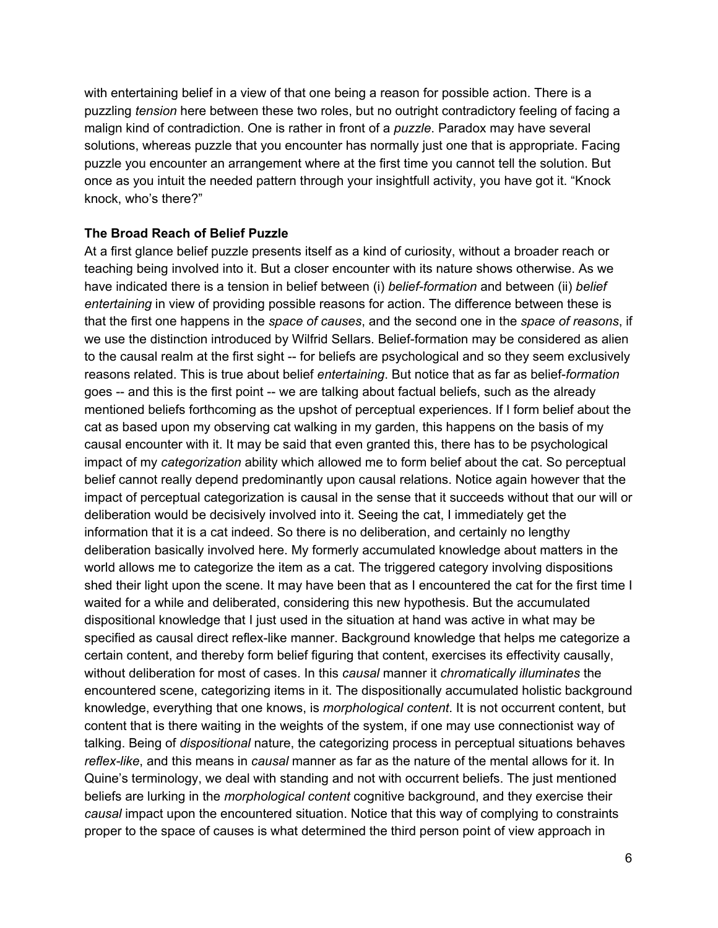with entertaining belief in a view of that one being a reason for possible action. There is a puzzling *tension* here between these two roles, but no outright contradictory feeling of facing a malign kind of contradiction. One is rather in front of a *puzzle*. Paradox may have several solutions, whereas puzzle that you encounter has normally just one that is appropriate. Facing puzzle you encounter an arrangement where at the first time you cannot tell the solution. But once as you intuit the needed pattern through your insightfull activity, you have got it. "Knock knock, who's there?"

## **The Broad Reach of Belief Puzzle**

At a first glance belief puzzle presents itself as a kind of curiosity, without a broader reach or teaching being involved into it. But a closer encounter with its nature shows otherwise. As we have indicated there is a tension in belief between (i) *belief-formation* and between (ii) *belief entertaining* in view of providing possible reasons for action. The difference between these is that the first one happens in the *space of causes*, and the second one in the *space of reasons*, if we use the distinction introduced by Wilfrid Sellars. Belief-formation may be considered as alien to the causal realm at the first sight -- for beliefs are psychological and so they seem exclusively reasons related. This is true about belief *entertaining*. But notice that as far as belief*formation* goes -- and this is the first point -- we are talking about factual beliefs, such as the already mentioned beliefs forthcoming as the upshot of perceptual experiences. If I form belief about the cat as based upon my observing cat walking in my garden, this happens on the basis of my causal encounter with it. It may be said that even granted this, there has to be psychological impact of my *categorization* ability which allowed me to form belief about the cat. So perceptual belief cannot really depend predominantly upon causal relations. Notice again however that the impact of perceptual categorization is causal in the sense that it succeeds without that our will or deliberation would be decisively involved into it. Seeing the cat, I immediately get the information that it is a cat indeed. So there is no deliberation, and certainly no lengthy deliberation basically involved here. My formerly accumulated knowledge about matters in the world allows me to categorize the item as a cat. The triggered category involving dispositions shed their light upon the scene. It may have been that as I encountered the cat for the first time I waited for a while and deliberated, considering this new hypothesis. But the accumulated dispositional knowledge that I just used in the situation at hand was active in what may be specified as causal direct reflex-like manner. Background knowledge that helps me categorize a certain content, and thereby form belief figuring that content, exercises its effectivity causally, without deliberation for most of cases. In this *causal* manner it *chromatically illuminates* the encountered scene, categorizing items in it. The dispositionally accumulated holistic background knowledge, everything that one knows, is *morphological content*. It is not occurrent content, but content that is there waiting in the weights of the system, if one may use connectionist way of talking. Being of *dispositional* nature, the categorizing process in perceptual situations behaves *reflex-like*, and this means in *causal* manner as far as the nature of the mental allows for it. In Quine's terminology, we deal with standing and not with occurrent beliefs. The just mentioned beliefs are lurking in the *morphological content* cognitive background, and they exercise their *causal* impact upon the encountered situation. Notice that this way of complying to constraints proper to the space of causes is what determined the third person point of view approach in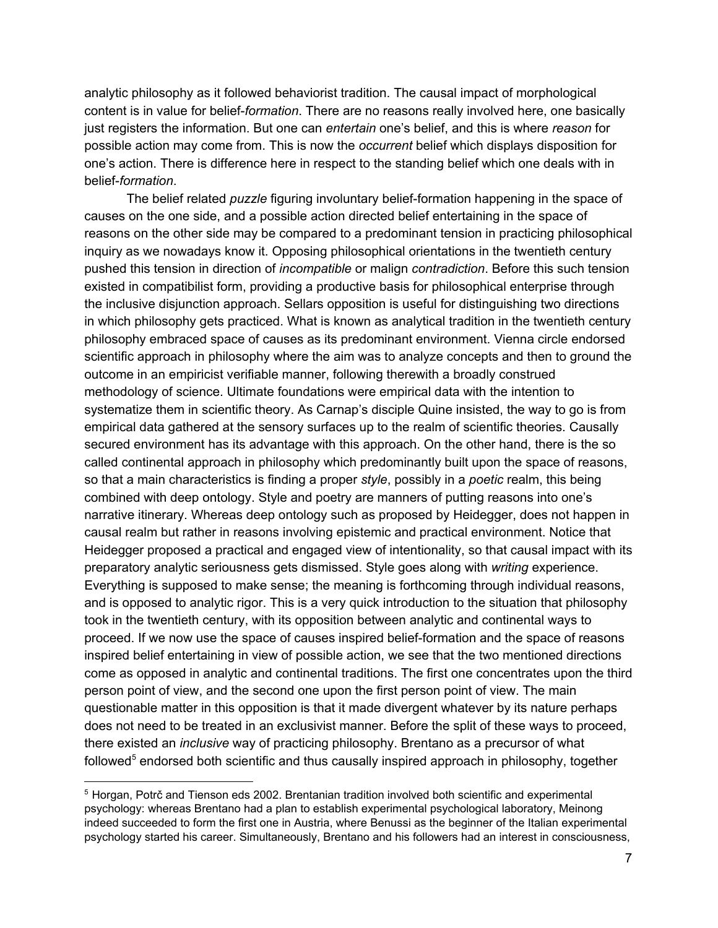analytic philosophy as it followed behaviorist tradition. The causal impact of morphological content is in value for belief*formation*. There are no reasons really involved here, one basically just registers the information. But one can *entertain* one's belief, and this is where *reason* for possible action may come from. This is now the *occurrent* belief which displays disposition for one's action. There is difference here in respect to the standing belief which one deals with in belief*formation*.

The belief related *puzzle* figuring involuntary belief-formation happening in the space of causes on the one side, and a possible action directed belief entertaining in the space of reasons on the other side may be compared to a predominant tension in practicing philosophical inquiry as we nowadays know it. Opposing philosophical orientations in the twentieth century pushed this tension in direction of *incompatible* or malign *contradiction*. Before this such tension existed in compatibilist form, providing a productive basis for philosophical enterprise through the inclusive disjunction approach. Sellars opposition is useful for distinguishing two directions in which philosophy gets practiced. What is known as analytical tradition in the twentieth century philosophy embraced space of causes as its predominant environment. Vienna circle endorsed scientific approach in philosophy where the aim was to analyze concepts and then to ground the outcome in an empiricist verifiable manner, following therewith a broadly construed methodology of science. Ultimate foundations were empirical data with the intention to systematize them in scientific theory. As Carnap's disciple Quine insisted, the way to go is from empirical data gathered at the sensory surfaces up to the realm of scientific theories. Causally secured environment has its advantage with this approach. On the other hand, there is the so called continental approach in philosophy which predominantly built upon the space of reasons, so that a main characteristics is finding a proper *style*, possibly in a *poetic* realm, this being combined with deep ontology. Style and poetry are manners of putting reasons into one's narrative itinerary. Whereas deep ontology such as proposed by Heidegger, does not happen in causal realm but rather in reasons involving epistemic and practical environment. Notice that Heidegger proposed a practical and engaged view of intentionality, so that causal impact with its preparatory analytic seriousness gets dismissed. Style goes along with *writing* experience. Everything is supposed to make sense; the meaning is forthcoming through individual reasons, and is opposed to analytic rigor. This is a very quick introduction to the situation that philosophy took in the twentieth century, with its opposition between analytic and continental ways to proceed. If we now use the space of causes inspired belief-formation and the space of reasons inspired belief entertaining in view of possible action, we see that the two mentioned directions come as opposed in analytic and continental traditions. The first one concentrates upon the third person point of view, and the second one upon the first person point of view. The main questionable matter in this opposition is that it made divergent whatever by its nature perhaps does not need to be treated in an exclusivist manner. Before the split of these ways to proceed, there existed an *inclusive* way of practicing philosophy. Brentano as a precursor of what followed<sup>5</sup> endorsed both scientific and thus causally inspired approach in philosophy, together

<sup>5</sup> Horgan, Potrč and Tienson eds 2002. Brentanian tradition involved both scientific and experimental psychology: whereas Brentano had a plan to establish experimental psychological laboratory, Meinong indeed succeeded to form the first one in Austria, where Benussi as the beginner of the Italian experimental psychology started his career. Simultaneously, Brentano and his followers had an interest in consciousness,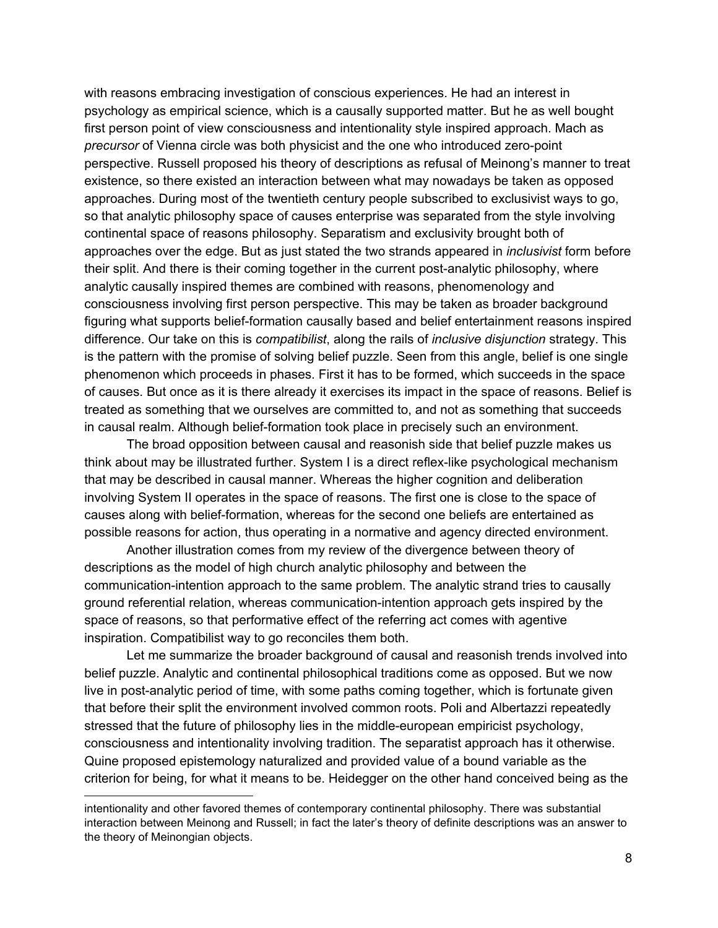with reasons embracing investigation of conscious experiences. He had an interest in psychology as empirical science, which is a causally supported matter. But he as well bought first person point of view consciousness and intentionality style inspired approach. Mach as *precursor* of Vienna circle was both physicist and the one who introduced zero-point perspective. Russell proposed his theory of descriptions as refusal of Meinong's manner to treat existence, so there existed an interaction between what may nowadays be taken as opposed approaches. During most of the twentieth century people subscribed to exclusivist ways to go, so that analytic philosophy space of causes enterprise was separated from the style involving continental space of reasons philosophy. Separatism and exclusivity brought both of approaches over the edge. But as just stated the two strands appeared in *inclusivist* form before their split. And there is their coming together in the current post-analytic philosophy, where analytic causally inspired themes are combined with reasons, phenomenology and consciousness involving first person perspective. This may be taken as broader background figuring what supports belief-formation causally based and belief entertainment reasons inspired difference. Our take on this is *compatibilist*, along the rails of *inclusive disjunction* strategy. This is the pattern with the promise of solving belief puzzle. Seen from this angle, belief is one single phenomenon which proceeds in phases. First it has to be formed, which succeeds in the space of causes. But once as it is there already it exercises its impact in the space of reasons. Belief is treated as something that we ourselves are committed to, and not as something that succeeds in causal realm. Although belief-formation took place in precisely such an environment.

The broad opposition between causal and reasonish side that belief puzzle makes us think about may be illustrated further. System I is a direct reflex-like psychological mechanism that may be described in causal manner. Whereas the higher cognition and deliberation involving System II operates in the space of reasons. The first one is close to the space of causes along with belief-formation, whereas for the second one beliefs are entertained as possible reasons for action, thus operating in a normative and agency directed environment.

Another illustration comes from my review of the divergence between theory of descriptions as the model of high church analytic philosophy and between the communication-intention approach to the same problem. The analytic strand tries to causally ground referential relation, whereas communication-intention approach gets inspired by the space of reasons, so that performative effect of the referring act comes with agentive inspiration. Compatibilist way to go reconciles them both.

Let me summarize the broader background of causal and reasonish trends involved into belief puzzle. Analytic and continental philosophical traditions come as opposed. But we now live in post-analytic period of time, with some paths coming together, which is fortunate given that before their split the environment involved common roots. Poli and Albertazzi repeatedly stressed that the future of philosophy lies in the middle-european empiricist psychology, consciousness and intentionality involving tradition. The separatist approach has it otherwise. Quine proposed epistemology naturalized and provided value of a bound variable as the criterion for being, for what it means to be. Heidegger on the other hand conceived being as the

intentionality and other favored themes of contemporary continental philosophy. There was substantial interaction between Meinong and Russell; in fact the later's theory of definite descriptions was an answer to the theory of Meinongian objects.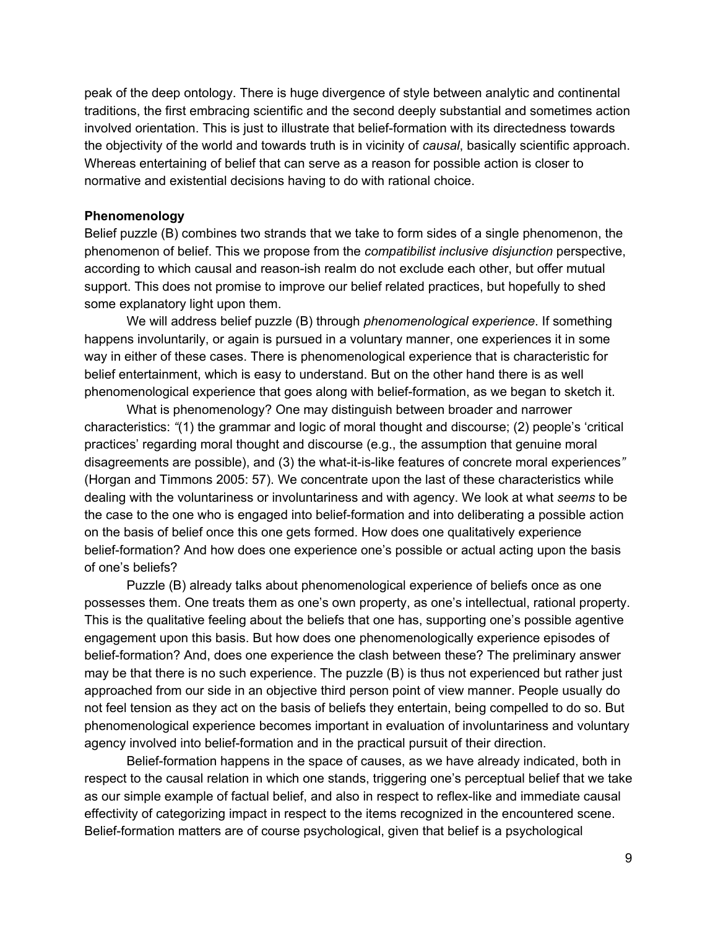peak of the deep ontology. There is huge divergence of style between analytic and continental traditions, the first embracing scientific and the second deeply substantial and sometimes action involved orientation. This is just to illustrate that belief-formation with its directedness towards the objectivity of the world and towards truth is in vicinity of *causal*, basically scientific approach. Whereas entertaining of belief that can serve as a reason for possible action is closer to normative and existential decisions having to do with rational choice.

### **Phenomenology**

Belief puzzle (B) combines two strands that we take to form sides of a single phenomenon, the phenomenon of belief. This we propose from the *compatibilist inclusive disjunction* perspective, according to which causal and reason-ish realm do not exclude each other, but offer mutual support. This does not promise to improve our belief related practices, but hopefully to shed some explanatory light upon them.

We will address belief puzzle (B) through *phenomenological experience*. If something happens involuntarily, or again is pursued in a voluntary manner, one experiences it in some way in either of these cases. There is phenomenological experience that is characteristic for belief entertainment, which is easy to understand. But on the other hand there is as well phenomenological experience that goes along with beliefformation, as we began to sketch it.

What is phenomenology? One may distinguish between broader and narrower characteristics: *"*(1) the grammar and logic of moral thought and discourse; (2) people's 'critical practices' regarding moral thought and discourse (e.g., the assumption that genuine moral disagreements are possible), and (3) the what-it-is-like features of concrete moral experiences" (Horgan and Timmons 2005: 57). We concentrate upon the last of these characteristics while dealing with the voluntariness or involuntariness and with agency. We look at what *seems* to be the case to the one who is engaged into belief-formation and into deliberating a possible action on the basis of belief once this one gets formed. How does one qualitatively experience beliefformation? And how does one experience one's possible or actual acting upon the basis of one's beliefs?

Puzzle (B) already talks about phenomenological experience of beliefs once as one possesses them. One treats them as one's own property, as one's intellectual, rational property. This is the qualitative feeling about the beliefs that one has, supporting one's possible agentive engagement upon this basis. But how does one phenomenologically experience episodes of belief-formation? And, does one experience the clash between these? The preliminary answer may be that there is no such experience. The puzzle (B) is thus not experienced but rather just approached from our side in an objective third person point of view manner. People usually do not feel tension as they act on the basis of beliefs they entertain, being compelled to do so. But phenomenological experience becomes important in evaluation of involuntariness and voluntary agency involved into belief-formation and in the practical pursuit of their direction.

Belief-formation happens in the space of causes, as we have already indicated, both in respect to the causal relation in which one stands, triggering one's perceptual belief that we take as our simple example of factual belief, and also in respect to reflex-like and immediate causal effectivity of categorizing impact in respect to the items recognized in the encountered scene. Belief-formation matters are of course psychological, given that belief is a psychological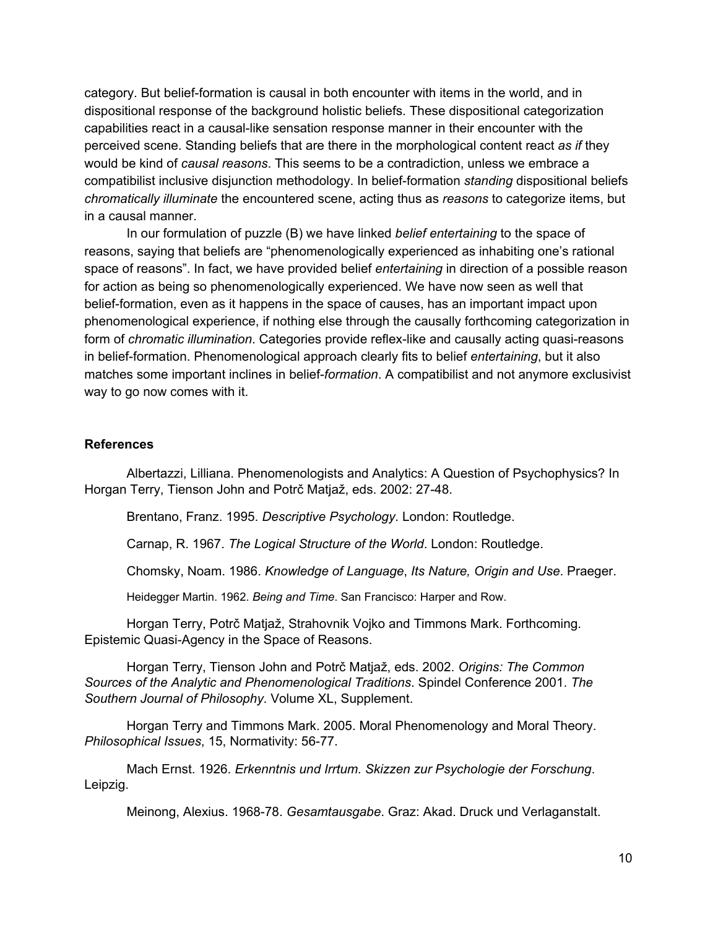category. But beliefformation is causal in both encounter with items in the world, and in dispositional response of the background holistic beliefs. These dispositional categorization capabilities react in a causal-like sensation response manner in their encounter with the perceived scene. Standing beliefs that are there in the morphological content react *as if* they would be kind of *causal reasons*. This seems to be a contradiction, unless we embrace a compatibilist inclusive disjunction methodology. In beliefformation *standing* dispositional beliefs *chromatically illuminate* the encountered scene, acting thus as *reasons* to categorize items, but in a causal manner.

In our formulation of puzzle (B) we have linked *belief entertaining* to the space of reasons, saying that beliefs are "phenomenologically experienced as inhabiting one's rational space of reasons". In fact, we have provided belief *entertaining* in direction of a possible reason for action as being so phenomenologically experienced. We have now seen as well that belief-formation, even as it happens in the space of causes, has an important impact upon phenomenological experience, if nothing else through the causally forthcoming categorization in form of *chromatic illumination*. Categories provide reflex-like and causally acting quasi-reasons in belief-formation. Phenomenological approach clearly fits to belief *entertaining*, but it also matches some important inclines in belief*formation*. A compatibilist and not anymore exclusivist way to go now comes with it.

### **References**

Albertazzi, Lilliana. Phenomenologists and Analytics: A Question of Psychophysics? In Horgan Terry, Tienson John and Potrč Matjaž, eds. 2002: 27-48.

Brentano, Franz. 1995. *Descriptive Psychology*. London: Routledge.

Carnap, R. 1967. *The Logical Structure of the World*. London: Routledge.

Chomsky, Noam. 1986. *Knowledge of Language*, *Its Nature, Origin and Use*. Praeger.

Heidegger Martin. 1962. *Being and Time*. San Francisco: Harper and Row.

Horgan Terry, Potrč Matjaž, Strahovnik Vojko and Timmons Mark. Forthcoming. Epistemic Quasi-Agency in the Space of Reasons.

Horgan Terry, Tienson John and Potrč Matjaž, eds. 2002. *Origins: The Common Sources of the Analytic and Phenomenological Traditions*. Spindel Conference 2001. *The Southern Journal of Philosophy*. Volume XL, Supplement.

Horgan Terry and Timmons Mark. 2005. Moral Phenomenology and Moral Theory. *Philosophical Issues, 15, Normativity: 56-77.* 

Mach Ernst. 1926. *Erkenntnis und Irrtum. Skizzen zur Psychologie der Forschung*. Leipzig.

Meinong, Alexius. 196878. *Gesamtausgabe*. Graz: Akad. Druck und Verlaganstalt.